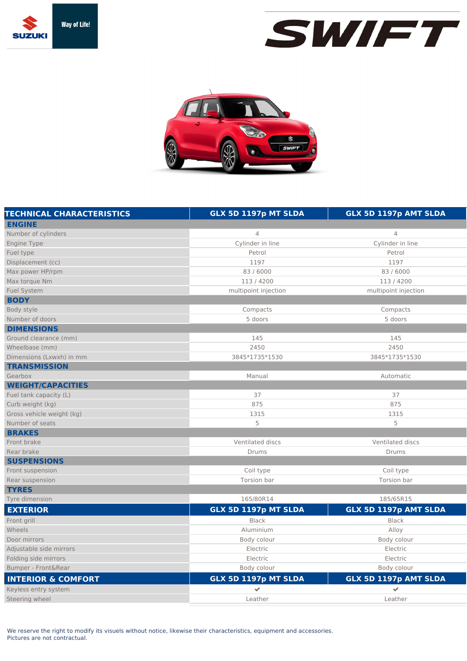





| <b>TECHNICAL CHARACTERISTICS</b> | GLX 5D 1197p MT SLDA | GLX 5D 1197p AMT SLDA |
|----------------------------------|----------------------|-----------------------|
| <b>ENGINE</b>                    |                      |                       |
| Number of cylinders              | $\overline{4}$       | 4                     |
| Engine Type                      | Cylinder in line     | Cylinder in line      |
| Fuel type                        | Petrol               | Petrol                |
| Displacement (cc)                | 1197                 | 1197                  |
| Max power HP/rpm                 | 83/6000              | 83/6000               |
| Max torque Nm                    | 113/4200             | 113/4200              |
| <b>Fuel System</b>               | multipoint injection | multipoint injection  |
| <b>BODY</b>                      |                      |                       |
| Body style                       | Compacts             | Compacts              |
| Number of doors                  | 5 doors              | 5 doors               |
| <b>DIMENSIONS</b>                |                      |                       |
| Ground clearance (mm)            | 145                  | 145                   |
| Wheelbase (mm)                   | 2450                 | 2450                  |
| Dimensions (Lxwxh) in mm         | 3845*1735*1530       | 3845*1735*1530        |
| <b>TRANSMISSION</b>              |                      |                       |
| Gearbox                          | Manual               | Automatic             |
| <b>WEIGHT/CAPACITIES</b>         |                      |                       |
| Fuel tank capacity (L)           | 37                   | 37                    |
| Curb weight (kg)                 | 875                  | 875                   |
| Gross vehicle weight (kg)        | 1315                 | 1315                  |
| Number of seats                  | 5                    | 5                     |
| <b>BRAKES</b>                    |                      |                       |
| Front brake                      | Ventilated discs     | Ventilated discs      |
| Rear brake                       | Drums                | Drums                 |
| <b>SUSPENSIONS</b>               |                      |                       |
| Front suspension                 | Coil type            | Coil type             |
| Rear suspension                  | Torsion bar          | Torsion bar           |
| <b>TYRES</b>                     |                      |                       |
| Tyre dimension                   | 165/80R14            | 185/65R15             |
| <b>EXTERIOR</b>                  | GLX 5D 1197p MT SLDA | GLX 5D 1197p AMT SLDA |
| Front grill                      | <b>Black</b>         | <b>Black</b>          |
| Wheels                           | Aluminium            | Alloy                 |
| Door mirrors                     | Body colour          | Body colour           |
| Adjustable side mirrors          | Electric             | Electric              |
| Folding side mirrors             | Electric             | Electric              |
| Bumper - Front&Rear              | Body colour          | Body colour           |
| <b>INTERIOR &amp; COMFORT</b>    | GLX 5D 1197p MT SLDA | GLX 5D 1197p AMT SLDA |
| Keyless entry system             | $\checkmark$         | ✔                     |
| Steering wheel                   | Leather              | Leather               |

We reserve the right to modify its visuels without notice, likewise their characteristics, equipment and accessories. Pictures are not contractual.